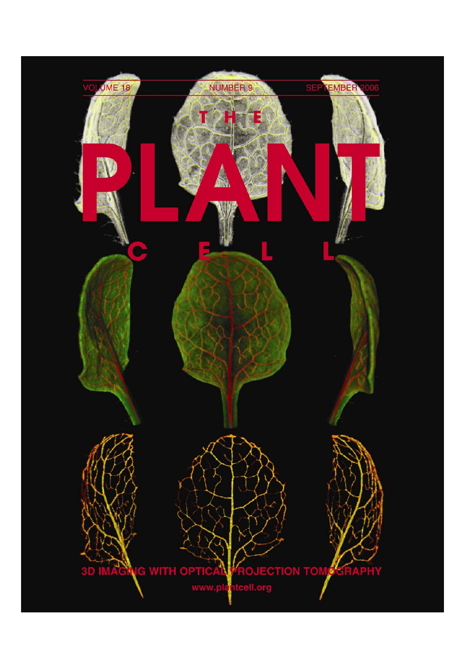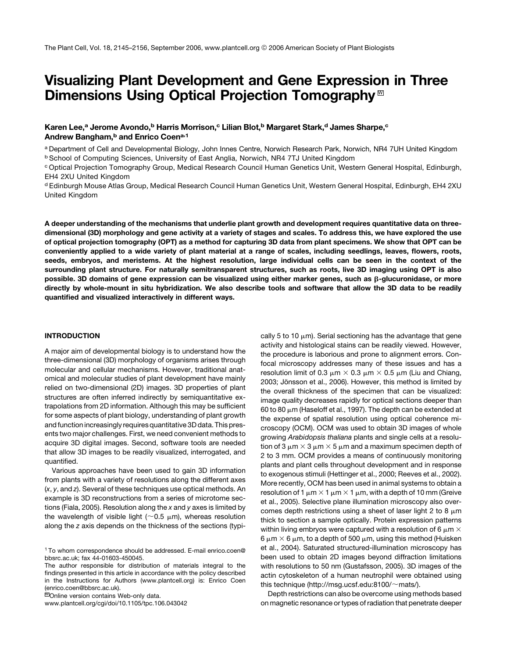# Visualizing Plant Development and Gene Expression in Three Dimensions Using Optical Projection Tomography<sup>™</sup>

# Karen Lee,<sup>a</sup> Jerome Avondo,<sup>b</sup> Harris Morrison,<sup>c</sup> Lilian Blot,<sup>b</sup> Margaret Stark,<sup>d</sup> James Sharpe,<sup>c</sup> Andrew Bangham,<sup>b</sup> and Enrico Coen<sup>a,1</sup>

<sup>a</sup> Department of Cell and Developmental Biology, John Innes Centre, Norwich Research Park, Norwich, NR4 7UH United Kingdom <sup>b</sup> School of Computing Sciences, University of East Anglia, Norwich, NR4 7TJ United Kingdom

<sup>c</sup> Optical Projection Tomography Group, Medical Research Council Human Genetics Unit, Western General Hospital, Edinburgh, EH4 2XU United Kingdom

<sup>d</sup> Edinburgh Mouse Atlas Group, Medical Research Council Human Genetics Unit, Western General Hospital, Edinburgh, EH4 2XU United Kingdom

A deeper understanding of the mechanisms that underlie plant growth and development requires quantitative data on threedimensional (3D) morphology and gene activity at a variety of stages and scales. To address this, we have explored the use of optical projection tomography (OPT) as a method for capturing 3D data from plant specimens. We show that OPT can be conveniently applied to a wide variety of plant material at a range of scales, including seedlings, leaves, flowers, roots, seeds, embryos, and meristems. At the highest resolution, large individual cells can be seen in the context of the surrounding plant structure. For naturally semitransparent structures, such as roots, live 3D imaging using OPT is also possible. 3D domains of gene expression can be visualized using either marker genes, such as *b*-glucuronidase, or more directly by whole-mount in situ hybridization. We also describe tools and software that allow the 3D data to be readily quantified and visualized interactively in different ways.

## INTRODUCTION

A major aim of developmental biology is to understand how the three-dimensional (3D) morphology of organisms arises through molecular and cellular mechanisms. However, traditional anatomical and molecular studies of plant development have mainly relied on two-dimensional (2D) images. 3D properties of plant structures are often inferred indirectly by semiquantitative extrapolations from 2D information. Although this may be sufficient for some aspects of plant biology, understanding of plant growth and function increasingly requires quantitative 3D data. This presents two major challenges. First, we need convenient methods to acquire 3D digital images. Second, software tools are needed that allow 3D images to be readily visualized, interrogated, and quantified.

Various approaches have been used to gain 3D information from plants with a variety of resolutions along the different axes (*x*, *y*, and *z*). Several of these techniques use optical methods. An example is 3D reconstructions from a series of microtome sections (Fiala, 2005). Resolution along the *x* and *y* axes is limited by the wavelength of visible light ( $\sim$ 0.5  $\mu$ m), whereas resolution along the *z* axis depends on the thickness of the sections (typi-

MOnline version contains Web-only data.

www.plantcell.org/cgi/doi/10.1105/tpc.106.043042

cally 5 to 10  $\mu$ m). Serial sectioning has the advantage that gene activity and histological stains can be readily viewed. However, the procedure is laborious and prone to alignment errors. Confocal microscopy addresses many of these issues and has a resolution limit of 0.3  $\mu$ m  $\times$  0.3  $\mu$ m  $\times$  0.5  $\mu$ m (Liu and Chiang, 2003; Jönsson et al., 2006). However, this method is limited by the overall thickness of the specimen that can be visualized: image quality decreases rapidly for optical sections deeper than 60 to 80  $\mu$ m (Haseloff et al., 1997). The depth can be extended at the expense of spatial resolution using optical coherence microscopy (OCM). OCM was used to obtain 3D images of whole growing *Arabidopsis thaliana* plants and single cells at a resolution of 3  $\mu$ m  $\times$  3  $\mu$ m  $\times$  5  $\mu$ m and a maximum specimen depth of 2 to 3 mm. OCM provides a means of continuously monitoring plants and plant cells throughout development and in response to exogenous stimuli (Hettinger et al., 2000; Reeves et al., 2002). More recently, OCM has been used in animal systems to obtain a resolution of 1  $\mu$ m  $\times$  1  $\mu$ m  $\times$  1  $\mu$ m, with a depth of 10 mm (Greive et al., 2005). Selective plane illumination microscopy also overcomes depth restrictions using a sheet of laser light 2 to 8  $\mu$ m thick to section a sample optically. Protein expression patterns within living embryos were captured with a resolution of 6  $\mu$ m  $\times$ 6  $\mu$ m  $\times$  6  $\mu$ m, to a depth of 500  $\mu$ m, using this method (Huisken et al., 2004). Saturated structured-illumination microscopy has been used to obtain 2D images beyond diffraction limitations with resolutions to 50 nm (Gustafsson, 2005). 3D images of the actin cytoskeleton of a human neutrophil were obtained using this technique (http://msg.ucsf.edu:8100/ $\sim$ mats/).

Depth restrictions can also be overcome using methods based on magnetic resonance or types of radiation that penetrate deeper

<sup>1</sup> To whom correspondence should be addressed. E-mail enrico.coen@ bbsrc.ac.uk; fax 44-01603-450045.

The author responsible for distribution of materials integral to the findings presented in this article in accordance with the policy described in the Instructions for Authors (www.plantcell.org) is: Enrico Coen (enrico.coen@bbsrc.ac.uk).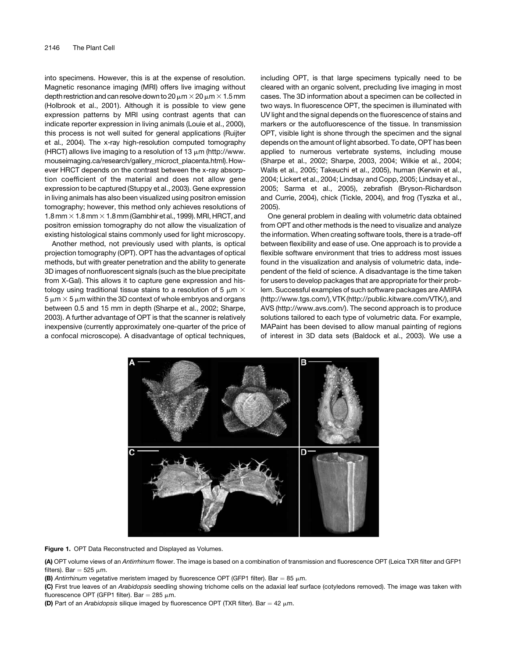into specimens. However, this is at the expense of resolution. Magnetic resonance imaging (MRI) offers live imaging without depth restriction and can resolve down to 20  $\mu$ m  $\times$  20  $\mu$ m  $\times$  1.5 mm (Holbrook et al., 2001). Although it is possible to view gene expression patterns by MRI using contrast agents that can indicate reporter expression in living animals (Louie et al., 2000), this process is not well suited for general applications (Ruijter et al., 2004). The x-ray high-resolution computed tomography (HRCT) allows live imaging to a resolution of 13  $\mu$ m (http://www. mouseimaging.ca/research/gallery\_microct\_placenta.html).However HRCT depends on the contrast between the x-ray absorption coefficient of the material and does not allow gene expression to be captured (Stuppy et al., 2003). Gene expression in living animals has also been visualized using positron emission tomography; however, this method only achieves resolutions of 1.8 mm  $\times$  1.8 mm  $\times$  1.8 mm (Gambhir et al., 1999). MRI, HRCT, and positron emission tomography do not allow the visualization of existing histological stains commonly used for light microscopy.

Another method, not previously used with plants, is optical projection tomography (OPT). OPT has the advantages of optical methods, but with greater penetration and the ability to generate 3D images of nonfluorescent signals (such as the blue precipitate from X-Gal). This allows it to capture gene expression and histology using traditional tissue stains to a resolution of 5  $\mu$ m  $\times$  $5 \mu m \times 5 \mu m$  within the 3D context of whole embryos and organs between 0.5 and 15 mm in depth (Sharpe et al., 2002; Sharpe, 2003). A further advantage of OPT is that the scanner is relatively inexpensive (currently approximately one-quarter of the price of a confocal microscope). A disadvantage of optical techniques, including OPT, is that large specimens typically need to be cleared with an organic solvent, precluding live imaging in most cases. The 3D information about a specimen can be collected in two ways. In fluorescence OPT, the specimen is illuminated with UV light and the signal depends on the fluorescence of stains and markers or the autofluorescence of the tissue. In transmission OPT, visible light is shone through the specimen and the signal depends on the amount of light absorbed. To date, OPT has been applied to numerous vertebrate systems, including mouse (Sharpe et al., 2002; Sharpe, 2003, 2004; Wilkie et al., 2004; Walls et al., 2005; Takeuchi et al., 2005), human (Kerwin et al., 2004; Lickert et al., 2004; Lindsay and Copp, 2005; Lindsay et al., 2005; Sarma et al., 2005), zebrafish (Bryson-Richardson and Currie, 2004), chick (Tickle, 2004), and frog (Tyszka et al., 2005).

One general problem in dealing with volumetric data obtained from OPT and other methods is the need to visualize and analyze the information. When creating software tools, there is a trade-off between flexibility and ease of use. One approach is to provide a flexible software environment that tries to address most issues found in the visualization and analysis of volumetric data, independent of the field of science. A disadvantage is the time taken for users to develop packages that are appropriate for their problem. Successful examples of such software packages are AMIRA (http://www.tgs.com/), VTK(http://public.kitware.com/VTK/), and AVS (http://www.avs.com/). The second approach is to produce solutions tailored to each type of volumetric data. For example, MAPaint has been devised to allow manual painting of regions of interest in 3D data sets (Baldock et al., 2003). We use a



Figure 1. OPT Data Reconstructed and Displayed as Volumes.

(A) OPT volume views of an *Antirrhinum* flower. The image is based on a combination of transmission and fluorescence OPT (Leica TXR filter and GFP1 filters). Bar = 525  $\mu$ m.

(B) Antirrhinum vegetative meristem imaged by fluorescence OPT (GFP1 filter). Bar = 85  $\mu$ m.

(C) First true leaves of an *Arabidopsis* seedling showing trichome cells on the adaxial leaf surface (cotyledons removed). The image was taken with fluorescence OPT (GFP1 filter). Bar = 285  $\mu$ m.

(D) Part of an *Arabidopsis* silique imaged by fluorescence OPT (TXR filter). Bar = 42  $\mu$ m.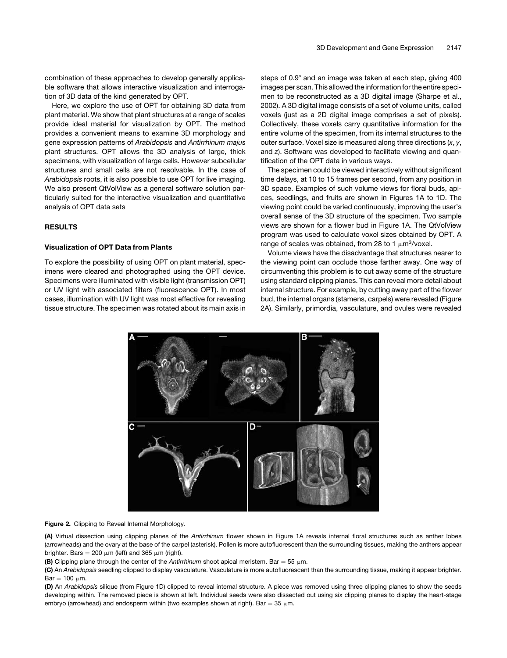combination of these approaches to develop generally applicable software that allows interactive visualization and interrogation of 3D data of the kind generated by OPT.

Here, we explore the use of OPT for obtaining 3D data from plant material. We show that plant structures at a range of scales provide ideal material for visualization by OPT. The method provides a convenient means to examine 3D morphology and gene expression patterns of *Arabidopsis* and *Antirrhinum majus* plant structures. OPT allows the 3D analysis of large, thick specimens, with visualization of large cells. However subcellular structures and small cells are not resolvable. In the case of *Arabidopsis* roots, it is also possible to use OPT for live imaging. We also present QtVolView as a general software solution particularly suited for the interactive visualization and quantitative analysis of OPT data sets

## RESULTS

## Visualization of OPT Data from Plants

To explore the possibility of using OPT on plant material, specimens were cleared and photographed using the OPT device. Specimens were illuminated with visible light (transmission OPT) or UV light with associated filters (fluorescence OPT). In most cases, illumination with UV light was most effective for revealing tissue structure. The specimen was rotated about its main axis in steps of  $0.9^\circ$  and an image was taken at each step, giving 400 images per scan. This allowed the information for the entire specimen to be reconstructed as a 3D digital image (Sharpe et al., 2002). A 3D digital image consists of a set of volume units, called voxels (just as a 2D digital image comprises a set of pixels). Collectively, these voxels carry quantitative information for the entire volume of the specimen, from its internal structures to the outer surface. Voxel size is measured along three directions (*x*, *y*, and *z*). Software was developed to facilitate viewing and quantification of the OPT data in various ways.

The specimen could be viewed interactively without significant time delays, at 10 to 15 frames per second, from any position in 3D space. Examples of such volume views for floral buds, apices, seedlings, and fruits are shown in Figures 1A to 1D. The viewing point could be varied continuously, improving the user's overall sense of the 3D structure of the specimen. Two sample views are shown for a flower bud in Figure 1A. The QtVolView program was used to calculate voxel sizes obtained by OPT. A range of scales was obtained, from 28 to 1  $\mu$ m<sup>3</sup>/voxel.

Volume views have the disadvantage that structures nearer to the viewing point can occlude those farther away. One way of circumventing this problem is to cut away some of the structure using standard clipping planes. This can reveal more detail about internal structure. For example, by cutting away part of the flower bud, the internal organs (stamens, carpels) were revealed (Figure 2A). Similarly, primordia, vasculature, and ovules were revealed



## Figure 2. Clipping to Reveal Internal Morphology.

(A) Virtual dissection using clipping planes of the *Antirrhinum* flower shown in Figure 1A reveals internal floral structures such as anther lobes (arrowheads) and the ovary at the base of the carpel (asterisk). Pollen is more autofluorescent than the surrounding tissues, making the anthers appear brighter. Bars = 200  $\mu$ m (left) and 365  $\mu$ m (right).

(B) Clipping plane through the center of the *Antirrhinum* shoot apical meristem. Bar = 55  $\mu$ m.

(C) An *Arabidopsis* seedling clipped to display vasculature. Vasculature is more autofluorescent than the surrounding tissue, making it appear brighter.  $Bar = 100 \mu m$ .

(D) An *Arabidopsis* silique (from Figure 1D) clipped to reveal internal structure. A piece was removed using three clipping planes to show the seeds developing within. The removed piece is shown at left. Individual seeds were also dissected out using six clipping planes to display the heart-stage embryo (arrowhead) and endosperm within (two examples shown at right). Bar =  $35 \mu m$ .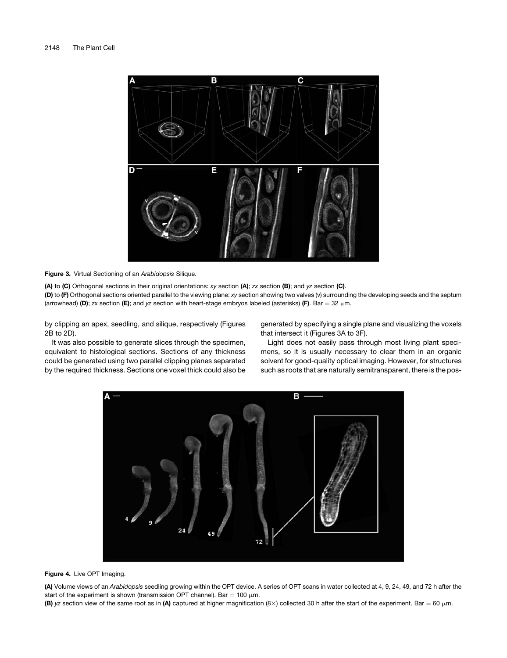

Figure 3. Virtual Sectioning of an *Arabidopsis* Silique.

(A) to (C) Orthogonal sections in their original orientations: *xy* section (A); *zx* section (B); and *yz* section (C). (D) to (F) Orthogonal sections oriented parallel to the viewing plane: *xy* section showing two valves (v) surrounding the developing seeds and the septum (arrowhead) (D); *zx* section (E); and *yz* section with heart-stage embryos labeled (asterisks) (F). Bar = 32  $\mu$ m.

by clipping an apex, seedling, and silique, respectively (Figures 2B to 2D).

generated by specifying a single plane and visualizing the voxels that intersect it (Figures 3A to 3F).

It was also possible to generate slices through the specimen, equivalent to histological sections. Sections of any thickness could be generated using two parallel clipping planes separated by the required thickness. Sections one voxel thick could also be

Light does not easily pass through most living plant specimens, so it is usually necessary to clear them in an organic solvent for good-quality optical imaging. However, for structures such as roots that are naturally semitransparent, there is the pos-



Figure 4. Live OPT Imaging.

(A) Volume views of an *Arabidopsis* seedling growing within the OPT device. A series of OPT scans in water collected at 4, 9, 24, 49, and 72 h after the start of the experiment is shown (transmission OPT channel). Bar = 100  $\mu$ m.

(B) yz section view of the same root as in (A) captured at higher magnification  $(8 \times)$  collected 30 h after the start of the experiment. Bar = 60  $\mu$ m.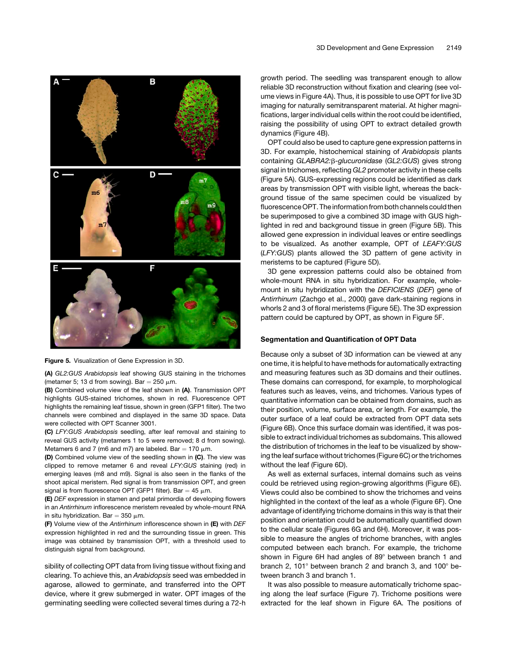

Figure 5. Visualization of Gene Expression in 3D.

(A) *GL2:GUS Arabidopsis* leaf showing GUS staining in the trichomes (metamer 5; 13 d from sowing). Bar =  $250 \mu m$ .

(B) Combined volume view of the leaf shown in (A). Transmission OPT highlights GUS-stained trichomes, shown in red. Fluorescence OPT highlights the remaining leaf tissue, shown in green (GFP1 filter). The two channels were combined and displayed in the same 3D space. Data were collected with OPT Scanner 3001.

(C) *LFY:GUS Arabidopsis* seedling, after leaf removal and staining to reveal GUS activity (metamers 1 to 5 were removed; 8 d from sowing). Metamers 6 and 7 (m6 and m7) are labeled. Bar = 170  $\mu$ m.

(D) Combined volume view of the seedling shown in (C). The view was clipped to remove metamer 6 and reveal *LFY:GUS* staining (red) in emerging leaves (m8 and m9). Signal is also seen in the flanks of the shoot apical meristem. Red signal is from transmission OPT, and green signal is from fluorescence OPT (GFP1 filter). Bar = 45  $\mu$ m.

(E) *DEF* expression in stamen and petal primordia of developing flowers in an *Antirrhinum* inflorescence meristem revealed by whole-mount RNA in situ hybridization. Bar = 350  $\mu$ m.

(F) Volume view of the *Antirrhinum* inflorescence shown in (E) with *DEF* expression highlighted in red and the surrounding tissue in green. This image was obtained by transmission OPT, with a threshold used to distinguish signal from background.

sibility of collecting OPT data from living tissue without fixing and clearing. To achieve this, an *Arabidopsis* seed was embedded in agarose, allowed to germinate, and transferred into the OPT device, where it grew submerged in water. OPT images of the germinating seedling were collected several times during a 72-h

growth period. The seedling was transparent enough to allow reliable 3D reconstruction without fixation and clearing (see volume views in Figure 4A). Thus, it is possible to use OPT for live 3D imaging for naturally semitransparent material. At higher magnifications, larger individual cells within the root could be identified, raising the possibility of using OPT to extract detailed growth dynamics (Figure 4B).

OPT could also be used to capture gene expression patterns in 3D. For example, histochemical staining of *Arabidopsis* plants containing *GLABRA2:*b*-glucuronidase* (*GL2:GUS*) gives strong signal in trichomes, reflecting *GL2* promoter activity in these cells (Figure 5A). GUS-expressing regions could be identified as dark areas by transmission OPT with visible light, whereas the background tissue of the same specimen could be visualized by fluorescence OPT. The information from both channels could then be superimposed to give a combined 3D image with GUS highlighted in red and background tissue in green (Figure 5B). This allowed gene expression in individual leaves or entire seedlings to be visualized. As another example, OPT of *LEAFY:GUS* (*LFY:GUS*) plants allowed the 3D pattern of gene activity in meristems to be captured (Figure 5D).

3D gene expression patterns could also be obtained from whole-mount RNA in situ hybridization. For example, wholemount in situ hybridization with the *DEFICIENS* (*DEF*) gene of *Antirrhinum* (Zachgo et al., 2000) gave dark-staining regions in whorls 2 and 3 of floral meristems (Figure 5E). The 3D expression pattern could be captured by OPT, as shown in Figure 5F.

## Segmentation and Quantification of OPT Data

Because only a subset of 3D information can be viewed at any one time, it is helpful to have methods for automatically extracting and measuring features such as 3D domains and their outlines. These domains can correspond, for example, to morphological features such as leaves, veins, and trichomes. Various types of quantitative information can be obtained from domains, such as their position, volume, surface area, or length. For example, the outer surface of a leaf could be extracted from OPT data sets (Figure 6B). Once this surface domain was identified, it was possible to extract individual trichomes as subdomains. This allowed the distribution of trichomes in the leaf to be visualized by showing the leaf surface without trichomes (Figure 6C) or the trichomes without the leaf (Figure 6D).

As well as external surfaces, internal domains such as veins could be retrieved using region-growing algorithms (Figure 6E). Views could also be combined to show the trichomes and veins highlighted in the context of the leaf as a whole (Figure 6F). One advantage of identifying trichome domains in this way is that their position and orientation could be automatically quantified down to the cellular scale (Figures 6G and 6H). Moreover, it was possible to measure the angles of trichome branches, with angles computed between each branch. For example, the trichome shown in Figure 6H had angles of 89° between branch 1 and branch 2, 101 $^{\circ}$  between branch 2 and branch 3, and 100 $^{\circ}$  between branch 3 and branch 1.

It was also possible to measure automatically trichome spacing along the leaf surface (Figure 7). Trichome positions were extracted for the leaf shown in Figure 6A. The positions of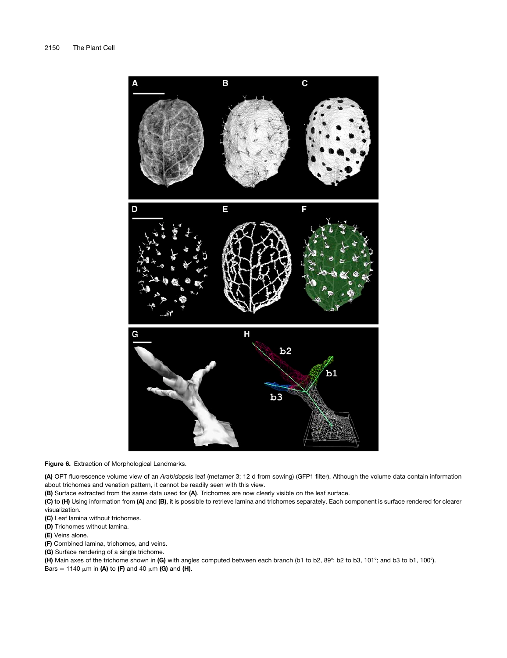

Figure 6. Extraction of Morphological Landmarks.

(A) OPT fluorescence volume view of an *Arabidopsis* leaf (metamer 3; 12 d from sowing) (GFP1 filter). Although the volume data contain information about trichomes and venation pattern, it cannot be readily seen with this view.

(B) Surface extracted from the same data used for (A). Trichomes are now clearly visible on the leaf surface.

(C) to (H) Using information from (A) and (B), it is possible to retrieve lamina and trichomes separately. Each component is surface rendered for clearer visualization.

(C) Leaf lamina without trichomes.

(D) Trichomes without lamina.

(E) Veins alone.

(F) Combined lamina, trichomes, and veins.

(G) Surface rendering of a single trichome.

(H) Main axes of the trichome shown in (G) with angles computed between each branch (b1 to b2, 89°; b2 to b3, 101°; and b3 to b1, 100°).

Bars = 1140  $\mu$ m in (A) to (F) and 40  $\mu$ m (G) and (H).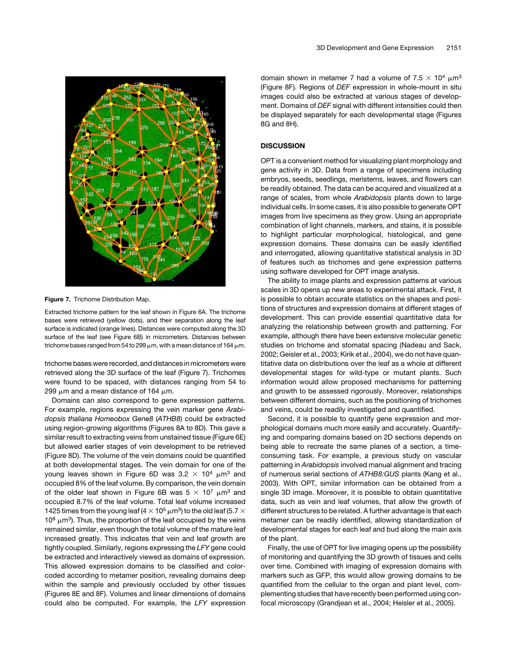

Figure 7. Trichome Distribution Map.

Extracted trichome pattern for the leaf shown in Figure 6A. The trichome bases were retrieved (yellow dots), and their separation along the leaf surface is indicated (orange lines). Distances were computed along the 3D surface of the leaf (see Figure 6B) in micrometers. Distances between trichome bases ranged from 54 to 299  $\mu$ m, with a mean distance of 164  $\mu$ m.

trichome bases were recorded, and distances in micrometers were retrieved along the 3D surface of the leaf (Figure 7). Trichomes were found to be spaced, with distances ranging from 54 to 299  $\mu$ m and a mean distance of 164  $\mu$ m.

Domains can also correspond to gene expression patterns. For example, regions expressing the vein marker gene *Arabidopsis thaliana Homeobox Gene8* (*ATHB8*) could be extracted using region-growing algorithms (Figures 8A to 8D). This gave a similar result to extracting veins from unstained tissue (Figure 6E) but allowed earlier stages of vein development to be retrieved (Figure 8D). The volume of the vein domains could be quantified at both developmental stages. The vein domain for one of the young leaves shown in Figure 6D was  $3.2 \times 10^4$   $\mu$ m<sup>3</sup> and occupied 8% of the leaf volume. By comparison, the vein domain of the older leaf shown in Figure 6B was  $5 \times 10^7$   $\mu$ m<sup>3</sup> and occupied 8.7% of the leaf volume. Total leaf volume increased 1425 times from the young leaf (4  $\times$  10<sup>5</sup>  $\mu$ m<sup>3</sup>) to the old leaf (5.7  $\times$  $10^8 \mu m^3$ ). Thus, the proportion of the leaf occupied by the veins remained similar, even though the total volume of the mature leaf increased greatly. This indicates that vein and leaf growth are tightly coupled. Similarly, regions expressing the *LFY* gene could be extracted and interactively viewed as domains of expression. This allowed expression domains to be classified and colorcoded according to metamer position, revealing domains deep within the sample and previously occluded by other tissues (Figures 8E and 8F). Volumes and linear dimensions of domains could also be computed. For example, the *LFY* expression

domain shown in metamer 7 had a volume of  $7.5 \times 10^4 \mu m^3$ (Figure 8F). Regions of *DEF* expression in whole-mount in situ images could also be extracted at various stages of development. Domains of *DEF* signal with different intensities could then be displayed separately for each developmental stage (Figures 8G and 8H).

## **DISCUSSION**

OPT is a convenient method for visualizing plant morphology and gene activity in 3D. Data from a range of specimens including embryos, seeds, seedlings, meristems, leaves, and flowers can be readily obtained. The data can be acquired and visualized at a range of scales, from whole *Arabidopsis* plants down to large individual cells. In some cases, it is also possible to generate OPT images from live specimens as they grow. Using an appropriate combination of light channels, markers, and stains, it is possible to highlight particular morphological, histological, and gene expression domains. These domains can be easily identified and interrogated, allowing quantitative statistical analysis in 3D of features such as trichomes and gene expression patterns using software developed for OPT image analysis.

The ability to image plants and expression patterns at various scales in 3D opens up new areas to experimental attack. First, it is possible to obtain accurate statistics on the shapes and positions of structures and expression domains at different stages of development. This can provide essential quantitative data for analyzing the relationship between growth and patterning. For example, although there have been extensive molecular genetic studies on trichome and stomatal spacing (Nadeau and Sack, 2002; Geisler et al., 2003; Kirik et al., 2004), we do not have quantitative data on distributions over the leaf as a whole at different developmental stages for wild-type or mutant plants. Such information would allow proposed mechanisms for patterning and growth to be assessed rigorously. Moreover, relationships between different domains, such as the positioning of trichomes and veins, could be readily investigated and quantified.

Second, it is possible to quantify gene expression and morphological domains much more easily and accurately. Quantifying and comparing domains based on 2D sections depends on being able to recreate the same planes of a section, a timeconsuming task. For example, a previous study on vascular patterning in *Arabidopsis* involved manual alignment and tracing of numerous serial sections of *ATHB8:GUS* plants (Kang et al., 2003). With OPT, similar information can be obtained from a single 3D image. Moreover, it is possible to obtain quantitative data, such as vein and leaf volumes, that allow the growth of different structures to be related. A further advantage is that each metamer can be readily identified, allowing standardization of developmental stages for each leaf and bud along the main axis of the plant.

Finally, the use of OPT for live imaging opens up the possibility of monitoring and quantifying the 3D growth of tissues and cells over time. Combined with imaging of expression domains with markers such as GFP, this would allow growing domains to be quantified from the cellular to the organ and plant level, complementing studies that have recently been performed using confocal microscopy (Grandjean et al., 2004; Heisler et al., 2005).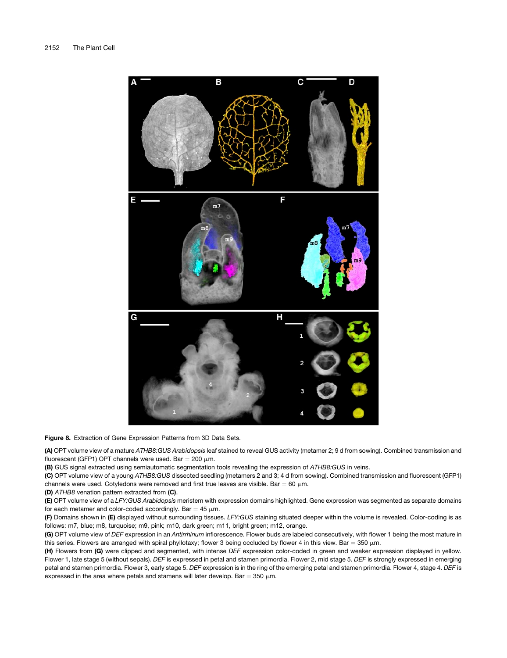

Figure 8. Extraction of Gene Expression Patterns from 3D Data Sets.

(A) OPT volume view of a mature *ATHB8:GUS Arabidopsis* leaf stained to reveal GUS activity (metamer 2; 9 d from sowing). Combined transmission and fluorescent (GFP1) OPT channels were used. Bar =  $200 \mu m$ .

(B) GUS signal extracted using semiautomatic segmentation tools revealing the expression of *ATHB8:GUS* in veins.

(C) OPT volume view of a young *ATHB8:GUS* dissected seedling (metamers 2 and 3; 4 d from sowing). Combined transmission and fluorescent (GFP1) channels were used. Cotyledons were removed and first true leaves are visible. Bar = 60  $\mu$ m.

(D) *ATHB8* venation pattern extracted from (C).

(E) OPT volume view of a *LFY:GUS Arabidopsis* meristem with expression domains highlighted. Gene expression was segmented as separate domains for each metamer and color-coded accordingly. Bar =  $45 \mu m$ .

(F) Domains shown in (E) displayed without surrounding tissues. *LFY:GUS* staining situated deeper within the volume is revealed. Color-coding is as follows: m7, blue; m8, turquoise; m9, pink; m10, dark green; m11, bright green; m12, orange.

(G) OPT volume view of *DEF* expression in an *Antirrhinum* inflorescence. Flower buds are labeled consecutively, with flower 1 being the most mature in this series. Flowers are arranged with spiral phyllotaxy; flower 3 being occluded by flower 4 in this view. Bar = 350  $\mu$ m.

(H) Flowers from (G) were clipped and segmented, with intense *DEF* expression color-coded in green and weaker expression displayed in yellow. Flower 1, late stage 5 (without sepals). *DEF* is expressed in petal and stamen primordia. Flower 2, mid stage 5. *DEF* is strongly expressed in emerging petal and stamen primordia. Flower 3, early stage 5. *DEF* expression is in the ring of the emerging petal and stamen primordia. Flower 4, stage 4. *DEF* is expressed in the area where petals and stamens will later develop. Bar = 350  $\mu$ m.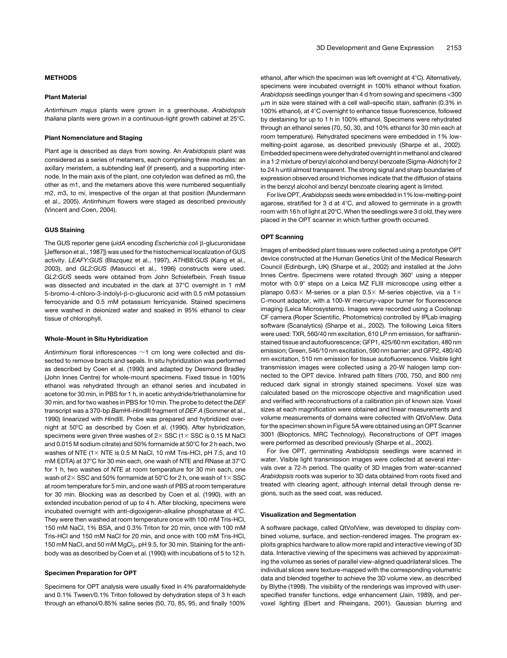## METHODS

### Plant Material

*Antirrhinum majus* plants were grown in a greenhouse. *Arabidopsis thaliana* plants were grown in a continuous-light growth cabinet at 25°C.

#### Plant Nomenclature and Staging

Plant age is described as days from sowing. An *Arabidopsis* plant was considered as a series of metamers, each comprising three modules: an axillary meristem, a subtending leaf (if present), and a supporting internode. In the main axis of the plant, one cotyledon was defined as m0, the other as m1, and the metamers above this were numbered sequentially m2, m3, to m*i*, irrespective of the organ at that position (Mundermann et al., 2005). *Antirrhinum* flowers were staged as described previously (Vincent and Coen, 2004).

#### GUS Staining

The GUS reporter gene (*uidA* encoding *Escherichia coli*  $\beta$ -glucuronidase [Jefferson et al., 1987]) was used for the histochemical localization of GUS activity. *LEAFY:GUS* (Blazquez et al., 1997), *ATHB8:GUS* (Kang et al., 2003), and *GL2:GUS* (Masucci et al., 1996) constructs were used. *GL2:GUS* seeds were obtained from John Schielefbein. Fresh tissue was dissected and incubated in the dark at 37°C overnight in 1 mM 5-bromo-4-chloro-3-indolyl-β-D-glucuronic acid with 0.5 mM potassium ferrocyanide and 0.5 mM potassium ferricyanide. Stained specimens were washed in deionized water and soaked in 95% ethanol to clear tissue of chlorophyll.

#### Whole-Mount in Situ Hybridization

Antirrhinum floral inflorescences  $\sim$ 1 cm long were collected and dissected to remove bracts and sepals. In situ hybridization was performed as described by Coen et al. (1990) and adapted by Desmond Bradley (John Innes Centre) for whole-mount specimens. Fixed tissue in 100% ethanol was rehydrated through an ethanol series and incubated in acetone for 30 min, in PBS for 1 h, in acetic anhydride/triethanolamine for 30 min, and for two washes in PBS for 10 min. The probe to detect the *DEF* transcript was a 370-bp *Bam*HI-*Hin*dIII fragment of *DEF A* (Sommer et al., 1990) linearized with *Hin*dIII. Probe was prepared and hybridized overnight at 50°C as described by Coen et al. (1990). After hybridization, specimens were given three washes of  $2\times$  SSC (1 $\times$  SSC is 0.15 M NaCl and 0.015 M sodium citrate) and 50% formamide at  $50^{\circ}$ C for 2 h each, two washes of NTE ( $1\times$  NTE is 0.5 M NaCl, 10 mM Tris-HCl, pH 7.5, and 10 mM EDTA) at 37 $\degree$ C for 30 min each, one wash of NTE and RNase at 37 $\degree$ C for 1 h, two washes of NTE at room temperature for 30 min each, one wash of 2 $\times$  SSC and 50% formamide at 50°C for 2 h, one wash of 1 $\times$  SSC at room temperature for 5 min, and one wash of PBS at room temperature for 30 min. Blocking was as described by Coen et al. (1990), with an extended incubation period of up to 4 h. After blocking, specimens were incubated overnight with anti-digoxigenin-alkaline phosphatase at 4°C. They were then washed at room temperature once with 100 mM Tris-HCl, 150 mM NaCl, 1% BSA, and 0.3% Triton for 20 min, once with 100 mM Tris-HCl and 150 mM NaCl for 20 min, and once with 100 mM Tris-HCl, 150 mM NaCl, and 50 mM MgCl<sub>2</sub>, pH 9.5, for 30 min. Staining for the antibody was as described by Coen et al. (1990) with incubations of 5 to 12 h.

#### Specimen Preparation for OPT

Specimens for OPT analysis were usually fixed in 4% paraformaldehyde and 0.1% Tween/0.1% Triton followed by dehydration steps of 3 h each through an ethanol/0.85% saline series (50, 70, 85, 95, and finally 100% ethanol, after which the specimen was left overnight at  $4^{\circ}$ C). Alternatively, specimens were incubated overnight in 100% ethanol without fixation. *Arabidopsis* seedlings younger than 4 d from sowing and specimens <300  $\mu$ m in size were stained with a cell wall–specific stain, saffranin (0.3% in 100% ethanol), at 4°C overnight to enhance tissue fluorescence, followed by destaining for up to 1 h in 100% ethanol. Specimens were rehydrated through an ethanol series (70, 50, 30, and 10% ethanol for 30 min each at room temperature). Rehydrated specimens were embedded in 1% lowmelting-point agarose, as described previously (Sharpe et al., 2002). Embedded specimens were dehydrated overnight inmethanol and cleared in a 1:2 mixture of benzyl alcohol and benzyl benzoate (Sigma-Aldrich) for 2 to 24 h until almost transparent. The strong signal and sharp boundaries of expression observed around trichomes indicate that the diffusion of stains in the benzyl alcohol and benzyl benzoate clearing agent is limited.

For live OPT,*Arabidopsis* seeds were embedded in 1% low-melting-point agarose, stratified for 3 d at  $4^{\circ}$ C, and allowed to germinate in a growth room with 16 h of light at 20 $^{\circ}$ C. When the seedlings were 3 d old, they were placed in the OPT scanner in which further growth occurred.

#### OPT Scanning

Images of embedded plant tissues were collected using a prototype OPT device constructed at the Human Genetics Unit of the Medical Research Council (Edinburgh, UK) (Sharpe et al., 2002) and installed at the John Innes Centre. Specimens were rotated through 360° using a stepper motor with 0.9° steps on a Leica MZ FLIII microscope using either a planapo 0.63 $\times$  M-series or a plan 0.5 $\times$  M-series objective, via a 1 $\times$ C-mount adaptor, with a 100-W mercury-vapor burner for fluorescence imaging (Leica Microsystems). Images were recorded using a Coolsnap CF camera (Roper Scientific, Photometrics) controlled by IPLab imaging software (Scanalytics) (Sharpe et al., 2002). The following Leica filters were used: TXR, 560/40 nm excitation, 610 LP nm emission, for saffraninstained tissue and autofluorescence; GFP1, 425/60 nm excitation, 480 nm emission; Green, 546/10 nm excitation, 590 nm barrier; and GFP2, 480/40 nm excitation, 510 nm emission for tissue autofluorescence. Visible light transmission images were collected using a 20-W halogen lamp connected to the OPT device. Infrared path filters (700, 750, and 800 nm) reduced dark signal in strongly stained specimens. Voxel size was calculated based on the microscope objective and magnification used and verified with reconstructions of a calibration pin of known size. Voxel sizes at each magnification were obtained and linear measurements and volume measurements of domains were collected with QtVolView. Data for the specimen shown in Figure 5A were obtained using an OPT Scanner 3001 (Bioptonics, MRC Technology). Reconstructions of OPT images were performed as described previously (Sharpe et al., 2002).

For live OPT, germinating *Arabidopsis* seedlings were scanned in water. Visible light transmission images were collected at several intervals over a 72-h period. The quality of 3D images from water-scanned *Arabidopsis* roots was superior to 3D data obtained from roots fixed and treated with clearing agent, although internal detail through dense regions, such as the seed coat, was reduced.

#### Visualization and Segmentation

A software package, called QtVolView, was developed to display combined volume, surface, and section-rendered images. The program exploits graphics hardware to allow more rapid and interactive viewing of 3D data. Interactive viewing of the specimens was achieved by approximating the volumes as series of parallel view-aligned quadrilateral slices. The individual slices were texture-mapped with the corresponding volumetric data and blended together to achieve the 3D volume view, as described by Blythe (1998). The visibility of the renderings was improved with userspecified transfer functions, edge enhancement (Jain, 1989), and pervoxel lighting (Ebert and Rheingans, 2001). Gaussian blurring and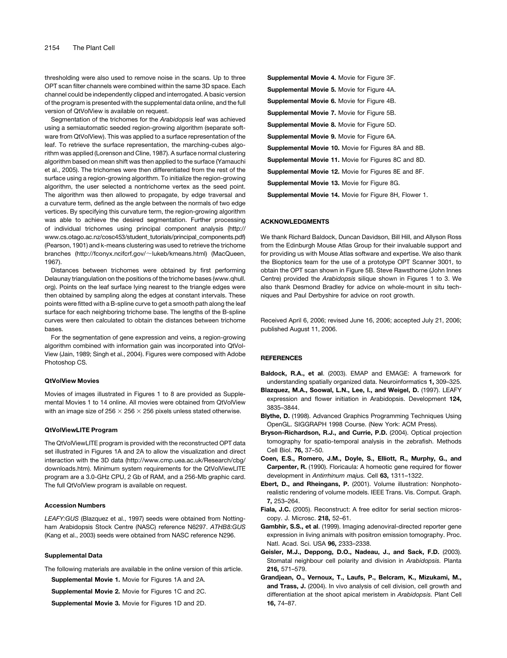thresholding were also used to remove noise in the scans. Up to three OPT scan filter channels were combined within the same 3D space. Each channel could be independently clipped and interrogated. A basic version of the program is presented with the supplemental data online, and the full version of QtVolView is available on request.

Segmentation of the trichomes for the *Arabidopsis* leaf was achieved using a semiautomatic seeded region-growing algorithm (separate software from QtVolView). This was applied to a surface representation of the leaf. To retrieve the surface representation, the marching-cubes algorithm was applied (Lorenson and Cline, 1987). A surface normal clustering algorithm based on mean shift was then applied to the surface (Yamauchi et al., 2005). The trichomes were then differentiated from the rest of the surface using a region-growing algorithm. To initialize the region-growing algorithm, the user selected a nontrichome vertex as the seed point. The algorithm was then allowed to propagate, by edge traversal and a curvature term, defined as the angle between the normals of two edge vertices. By specifying this curvature term, the region-growing algorithm was able to achieve the desired segmentation. Further processing of individual trichomes using principal component analysis (http:// www.cs.otago.ac.nz/cosc453/student\_tutorials/principal\_components.pdf) (Pearson, 1901) and k-means clustering was used to retrieve the trichome branches (http://fconyx.ncifcrf.gov/~lukeb/kmeans.html) (MacQueen, 1967).

Distances between trichomes were obtained by first performing Delaunay triangulation on the positions of the trichome bases (www.qhull. org). Points on the leaf surface lying nearest to the triangle edges were then obtained by sampling along the edges at constant intervals. These points were fitted with a B-spline curve to get a smooth path along the leaf surface for each neighboring trichome base. The lengths of the B-spline curves were then calculated to obtain the distances between trichome bases.

For the segmentation of gene expression and veins, a region-growing algorithm combined with information gain was incorporated into QtVol-View (Jain, 1989; Singh et al., 2004). Figures were composed with Adobe Photoshop CS.

#### QtVolView Movies

Movies of images illustrated in Figures 1 to 8 are provided as Supplemental Movies 1 to 14 online. All movies were obtained from QtVolView with an image size of 256  $\times$  256  $\times$  256 pixels unless stated otherwise.

## QtVolViewLITE Program

The QtVolViewLITE program is provided with the reconstructed OPT data set illustrated in Figures 1A and 2A to allow the visualization and direct interaction with the 3D data (http://www.cmp.uea.ac.uk/Research/cbg/ downloads.htm). Minimum system requirements for the QtVolViewLITE program are a 3.0-GHz CPU, 2 Gb of RAM, and a 256-Mb graphic card. The full QtVolView program is available on request.

#### Accession Numbers

*LEAFY:GUS* (Blazquez et al., 1997) seeds were obtained from Nottingham Arabidopsis Stock Centre (NASC) reference N6297. *ATHB8:GUS* (Kang et al., 2003) seeds were obtained from NASC reference N296.

#### Supplemental Data

The following materials are available in the online version of this article.

Supplemental Movie 1. Movie for Figures 1A and 2A.

Supplemental Movie 2. Movie for Figures 1C and 2C.

Supplemental Movie 3. Movie for Figures 1D and 2D.

| <b>Supplemental Movie 4. Movie for Figure 3F.</b>          |
|------------------------------------------------------------|
| <b>Supplemental Movie 5. Movie for Figure 4A.</b>          |
| <b>Supplemental Movie 6.</b> Movie for Figure 4B.          |
| <b>Supplemental Movie 7.</b> Movie for Figure 5B.          |
| <b>Supplemental Movie 8. Movie for Figure 5D.</b>          |
| Supplemental Movie 9. Movie for Figure 6A.                 |
| <b>Supplemental Movie 10.</b> Movie for Figures 8A and 8B. |
| <b>Supplemental Movie 11.</b> Movie for Figures 8C and 8D. |
| <b>Supplemental Movie 12.</b> Movie for Figures 8E and 8F. |
| <b>Supplemental Movie 13. Movie for Figure 8G.</b>         |
|                                                            |

Supplemental Movie 14. Movie for Figure 8H, Flower 1.

#### ACKNOWLEDGMENTS

We thank Richard Baldock, Duncan Davidson, Bill Hill, and Allyson Ross from the Edinburgh Mouse Atlas Group for their invaluable support and for providing us with Mouse Atlas software and expertise. We also thank the Bioptonics team for the use of a prototype OPT Scanner 3001, to obtain the OPT scan shown in Figure 5B. Steve Rawsthorne (John Innes Centre) provided the *Arabidopsis* silique shown in Figures 1 to 3. We also thank Desmond Bradley for advice on whole-mount in situ techniques and Paul Derbyshire for advice on root growth.

Received April 6, 2006; revised June 16, 2006; accepted July 21, 2006; published August 11, 2006.

#### **REFERENCES**

- Baldock, R.A., et al. (2003). EMAP and EMAGE: A framework for understanding spatially organized data. Neuroinformatics 1, 309–325.
- Blazquez, M.A., Soowal, L.N., Lee, I., and Weigel, D. (1997). LEAFY expression and flower initiation in Arabidopsis. Development 124, 3835–3844.
- Blythe, D. (1998). Advanced Graphics Programming Techniques Using OpenGL. SIGGRAPH 1998 Course. (New York: ACM Press).
- Bryson-Richardson, R.J., and Currie, P.D. (2004). Optical projection tomography for spatio-temporal analysis in the zebrafish. Methods Cell Biol. 76, 37–50.
- Coen, E.S., Romero, J.M., Doyle, S., Elliott, R., Murphy, G., and Carpenter, R. (1990). Floricaula: A homeotic gene required for flower development in *Antirrhinum majus.* Cell 63, 1311–1322.
- Ebert, D., and Rheingans, P. (2001). Volume illustration: Nonphotorealistic rendering of volume models. IEEE Trans. Vis. Comput. Graph. 7, 253–264.
- Fiala, J.C. (2005). Reconstruct: A free editor for serial section microscopy. J. Microsc. 218, 52–61.
- Gambhir, S.S., et al. (1999). Imaging adenoviral-directed reporter gene expression in living animals with positron emission tomography. Proc. Natl. Acad. Sci. USA 96, 2333–2338.
- Geisler, M.J., Deppong, D.O., Nadeau, J., and Sack, F.D. (2003). Stomatal neighbour cell polarity and division in *Arabidopsis.* Planta 216, 571–579.
- Grandjean, O., Vernoux, T., Laufs, P., Belcram, K., Mizukami, M., and Trass, J. (2004). In vivo analysis of cell division, cell growth and differentiation at the shoot apical meristem in *Arabidopsis.* Plant Cell 16, 74–87.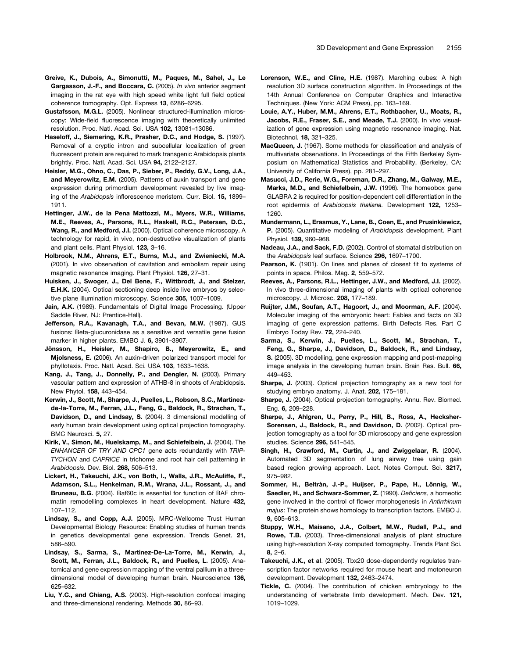- Greive, K., Dubois, A., Simonutti, M., Paques, M., Sahel, J., Le Gargasson, J.-F., and Boccara, C. (2005). *In vivo* anterior segment imaging in the rat eye with high speed white light full field optical coherence tomography. Opt. Express 13, 6286–6295.
- Gustafsson, M.G.L. (2005). Nonlinear structured-illumination microscopy: Wide-field fluorescence imaging with theoretically unlimited resolution. Proc. Natl. Acad. Sci. USA 102, 13081–13086.
- Haseloff, J., Siemering, K.R., Prasher, D.C., and Hodge, S. (1997). Removal of a cryptic intron and subcellular localization of green fluorescent protein are required to mark transgenic Arabidopsis plants brightly. Proc. Natl. Acad. Sci. USA 94, 2122–2127.
- Heisler, M.G., Ohno, C., Das, P., Sieber, P., Reddy, G.V., Long, J.A., and Meyerowitz, E.M. (2005). Patterns of auxin transport and gene expression during primordium development revealed by live imaging of the *Arabidopsis* inflorescence meristem. Curr. Biol. 15, 1899– 1911.
- Hettinger, J.W., de la Pena Mattozzi, M., Myers, W.R., Williams, M.E., Reeves, A., Parsons, R.L., Haskell, R.C., Petersen, D.C., Wang, R., and Medford, J.I. (2000). Optical coherence microscopy. A technology for rapid, in vivo, non-destructive visualization of plants and plant cells. Plant Physiol. 123, 3–16.
- Holbrook, N.M., Ahrens, E.T., Burns, M.J., and Zwieniecki, M.A. (2001). In vivo observation of cavitation and embolism repair using magnetic resonance imaging. Plant Physiol. 126, 27–31.
- Huisken, J., Swoger, J., Del Bene, F., Wittbrodt, J., and Stelzer, E.H.K. (2004). Optical sectioning deep inside live embryos by selective plane illumination microscopy. Science 305, 1007–1009.
- Jain, A.K. (1989). Fundamentals of Digital Image Processing. (Upper Saddle River, NJ: Prentice-Hall).
- Jefferson, R.A., Kavanagh, T.A., and Bevan, M.W. (1987). GUS fusions: Beta-glucuronidase as a sensitive and versatile gene fusion marker in higher plants. EMBO J. 6, 3901–3907.
- Jönsson, H., Heisler, M., Shapiro, B., Meyerowitz, E., and Mjolsness, E. (2006). An auxin-driven polarized transport model for phyllotaxis. Proc. Natl. Acad. Sci. USA 103, 1633–1638.
- Kang, J., Tang, J., Donnelly, P., and Dengler, N. (2003). Primary vascular pattern and expression of ATHB-8 in shoots of Arabidopsis. New Phytol. 158, 443–454.
- Kerwin, J., Scott, M., Sharpe, J., Puelles, L., Robson, S.C., Martinezde-la-Torre, M., Ferran, J.L., Feng, G., Baldock, R., Strachan, T., Davidson, D., and Lindsay, S. (2004). 3 dimensional modelling of early human brain development using optical projection tomography. BMC Neurosci. 5, 27.
- Kirik, V., Simon, M., Huelskamp, M., and Schiefelbein, J. (2004). The *ENHANCER OF TRY AND CPC1* gene acts redundantly with *TRIP-TYCHON* and *CAPRICE* in trichome and root hair cell patterning in *Arabidopsis.* Dev. Biol. 268, 506–513.
- Lickert, H., Takeuchi, J.K., von Both, I., Walls, J.R., McAuliffe, F., Adamson, S.L., Henkelman, R.M., Wrana, J.L., Rossant, J., and Bruneau, B.G. (2004). Baf60c is essential for function of BAF chromatin remodelling complexes in heart development. Nature 432, 107–112.
- Lindsay, S., and Copp, A.J. (2005). MRC-Wellcome Trust Human Developmental Biology Resource: Enabling studies of human trends in genetics developmental gene expression. Trends Genet. 21, 586–590.
- Lindsay, S., Sarma, S., Martinez-De-La-Torre, M., Kerwin, J., Scott, M., Ferran, J.L., Baldock, R., and Puelles, L. (2005). Anatomical and gene expression mapping of the ventral pallium in a threedimensional model of developing human brain. Neuroscience 136, 625–632.
- Liu, Y.C., and Chiang, A.S. (2003). High-resolution confocal imaging and three-dimensional rendering. Methods 30, 86–93.
- Lorenson, W.E., and Cline, H.E. (1987). Marching cubes: A high resolution 3D surface construction algorithm. In Proceedings of the 14th Annual Conference on Computer Graphics and Interactive Techniques. (New York: ACM Press), pp. 163–169.
- Louie, A.Y., Huber, M.M., Ahrens, E.T., Rothbacher, U., Moats, R., Jacobs, R.E., Fraser, S.E., and Meade, T.J. (2000). In vivo visualization of gene expression using magnetic resonance imaging. Nat. Biotechnol. 18, 321–325.
- MacQueen, J. (1967). Some methods for classification and analysis of multivariate observations. In Proceedings of the Fifth Berkeley Symposium on Mathematical Statistics and Probability. (Berkeley, CA: University of California Press), pp. 281–297.
- Masucci, J.D., Rerie, W.G., Foreman, D.R., Zhang, M., Galway, M.E., Marks, M.D., and Schiefelbein, J.W. (1996). The homeobox gene GLABRA 2 is required for position-dependent cell differentiation in the root epidermis of *Arabidopsis thaliana.* Development 122, 1253– 1260.
- Mundermann, L., Erasmus, Y., Lane, B., Coen, E., and Prusinkiewicz, P. (2005). Quantitative modeling of *Arabidopsis* development. Plant Physiol. 139, 960–968.
- Nadeau, J.A., and Sack, F.D. (2002). Control of stomatal distribution on the *Arabidopsis* leaf surface. Science 296, 1697–1700.
- Pearson, K. (1901). On lines and planes of closest fit to systems of points in space. Philos. Mag. 2, 559–572.
- Reeves, A., Parsons, R.L., Hettinger, J.W., and Medford, J.I. (2002). In vivo three-dimensional imaging of plants with optical coherence microscopy. J. Microsc. 208, 177–189.
- Ruijter, J.M., Soufan, A.T., Hagoort, J., and Moorman, A.F. (2004). Molecular imaging of the embryonic heart: Fables and facts on 3D imaging of gene expression patterns. Birth Defects Res. Part C Embryo Today Rev. 72, 224–240.
- Sarma, S., Kerwin, J., Puelles, L., Scott, M., Strachan, T., Feng, G., Sharpe, J., Davidson, D., Baldock, R., and Lindsay, S. (2005). 3D modelling, gene expression mapping and post-mapping image analysis in the developing human brain. Brain Res. Bull. 66, 449–453.
- Sharpe, J. (2003). Optical projection tomography as a new tool for studying embryo anatomy. J. Anat. 202, 175–181.
- Sharpe, J. (2004). Optical projection tomography. Annu. Rev. Biomed. Eng. 6, 209–228.
- Sharpe, J., Ahlgren, U., Perry, P., Hill, B., Ross, A., Hecksher-Sorensen, J., Baldock, R., and Davidson, D. (2002). Optical projection tomography as a tool for 3D microscopy and gene expression studies. Science 296, 541–545.
- Singh, H., Crawford, M., Curtin, J., and Zwiggelaar, R. (2004). Automated 3D segmentation of lung airway tree using gain based region growing approach. Lect. Notes Comput. Sci. 3217, 975–982.
- Sommer, H., Beltràn, J.-P., Huijser, P., Pape, H., Lönnig, W., Saedler, H., and Schwarz-Sommer, Z. (1990). *Deficiens*, a homeotic gene involved in the control of flower morphogenesis in *Antirrhinum majus*: The protein shows homology to transcription factors. EMBO J. 9, 605–613.
- Stuppy, W.H., Maisano, J.A., Colbert, M.W., Rudall, P.J., and Rowe, T.B. (2003). Three-dimensional analysis of plant structure using high-resolution X-ray computed tomography. Trends Plant Sci. 8, 2–6.
- Takeuchi, J.K., et al. (2005). Tbx20 dose-dependently regulates transcription factor networks required for mouse heart and motoneuron development. Development 132, 2463–2474.
- Tickle, C. (2004). The contribution of chicken embryology to the understanding of vertebrate limb development. Mech. Dev. 121, 1019–1029.